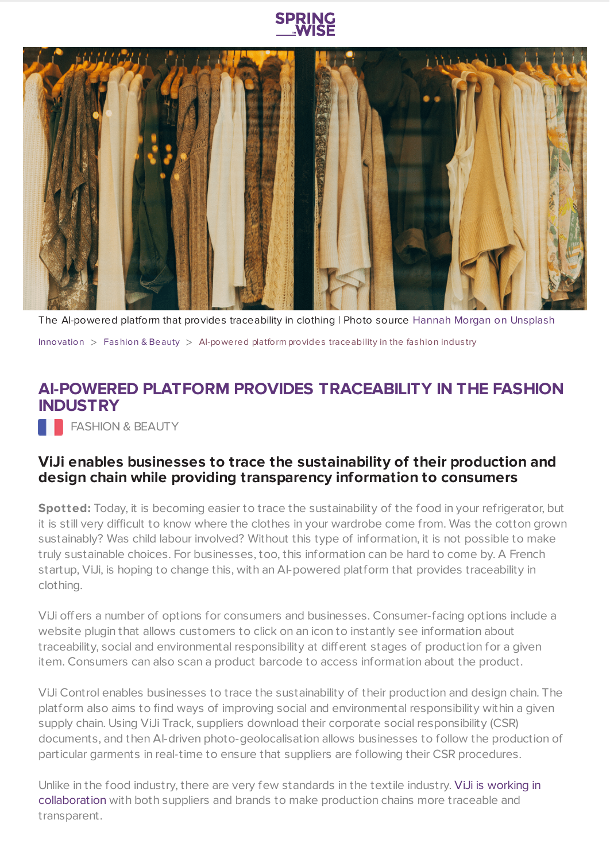



The AI-powered platform that provides traceability in clothing | Photo source Hannah Morgan on [Unsplash](https://unsplash.com/)

[Innovation](https://www.springwise.com/search?type=innovation)  $>$  [Fashion](https://www.springwise.com/search?type=innovation§or=design-fashion-and-beauty) & Beauty  $>$  Al-powered platform provides traceability in the fashion industry

## **AI-POWERED PLATFORM PROVIDES TRACEABILITY IN THE FASHION INDUSTRY**

**FASHION & BEAUTY** 

## **ViJi enables businesses to trace the sustainability of their production and design chain while providing transparency information to consumers**

**Spotted:** Today, it is becoming easier to trace the sustainability of the food in your refrigerator, but it is still very difficult to know where the clothes in your wardrobe come from. Was the cotton grown sustainably? Was child labour involved? Without this type of information, it is not possible to make truly sustainable choices. For businesses, too, this information can be hard to come by. A French startup, ViJi, is hoping to change this, with an AI-powered platform that provides traceability in clothing.

ViJi offers a number of options for consumers and businesses. Consumer-facing options include a website plugin that allows customers to click on an icon to instantly see information about traceability, social and environmental responsibility at different stages of production for a given item. Consumers can also scan a product barcode to access information about the product.

ViJi Control enables businesses to trace the sustainability of their production and design chain. The platform also aims to find ways of improving social and environmental responsibility within a given supply chain. Using ViJi Track, suppliers download their corporate social responsibility (CSR) documents, and then AI-driven photo-geolocalisation allows businesses to follow the production of particular garments in real-time to ensure that suppliers are following their CSR procedures.

Unlike in the food industry, there are very few standards in the textile industry. ViJi is working in [collaboration](https://letsgofrance.fr/french-excellence/viji-loeil-ethique-du-pret-a-porter-francais/) with both suppliers and brands to make production chains more traceable and transparent.